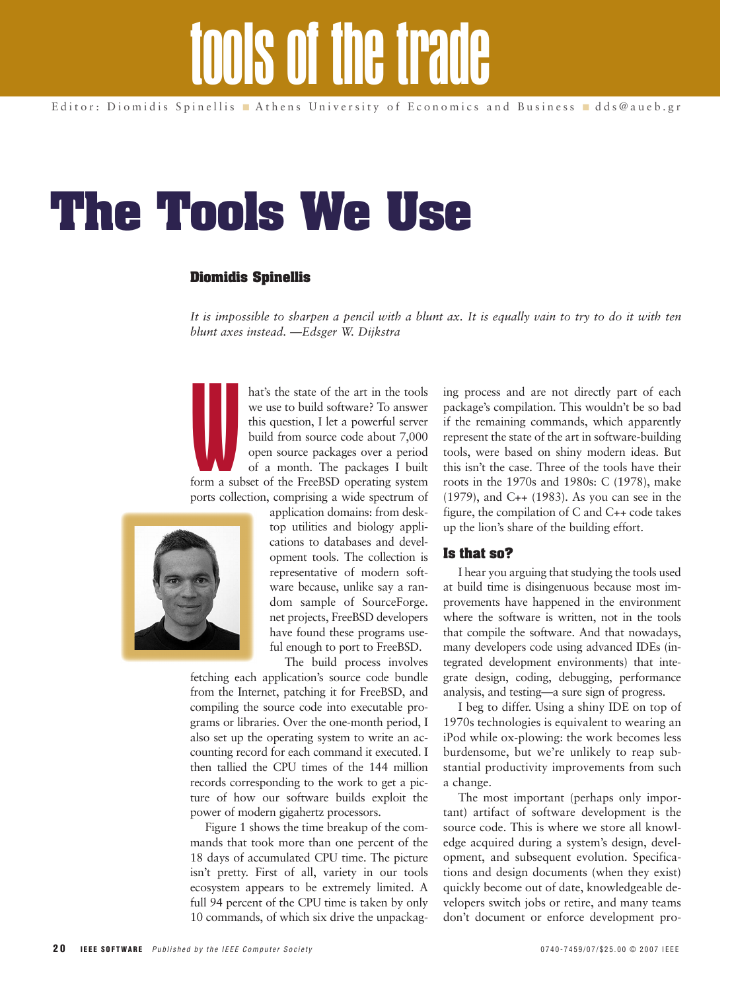# **The Tools We Use**

## **Diomidis Spinellis**

*It is impossible to sharpen a pencil with a blunt ax. It is equally vain to try to do it with ten blunt axes instead. —Edsger W. Dijkstra*

hat's the state of the art in the tools we use to build software? To answer this question, I let a powerful server build from source code about 7,000 open source packages over a period of a month. The packages I built

**WEIGHT** form a subset of the FreeBSD operating system ports collection, comprising a wide spectrum of



application domains: from desktop utilities and biology applications to databases and development tools. The collection is representative of modern software because, unlike say a random sample of SourceForge. net projects, FreeBSD developers have found these programs useful enough to port to FreeBSD. The build process involves

fetching each application's source code bundle from the Internet, patching it for FreeBSD, and compiling the source code into executable programs or libraries. Over the one-month period, I also set up the operating system to write an accounting record for each command it executed. I then tallied the CPU times of the 144 million records corresponding to the work to get a picture of how our software builds exploit the power of modern gigahertz processors.

Figure 1 shows the time breakup of the commands that took more than one percent of the 18 days of accumulated CPU time. The picture isn't pretty. First of all, variety in our tools ecosystem appears to be extremely limited. A full 94 percent of the CPU time is taken by only 10 commands, of which six drive the unpackag-

ing process and are not directly part of each package's compilation. This wouldn't be so bad if the remaining commands, which apparently represent the state of the art in software-building tools, were based on shiny modern ideas. But this isn't the case. Three of the tools have their roots in the 1970s and 1980s: C (1978), make (1979), and C++ (1983). As you can see in the figure, the compilation of C and C++ code takes up the lion's share of the building effort.

### **Is that so?**

I hear you arguing that studying the tools used at build time is disingenuous because most improvements have happened in the environment where the software is written, not in the tools that compile the software. And that nowadays, many developers code using advanced IDEs (integrated development environments) that integrate design, coding, debugging, performance analysis, and testing—a sure sign of progress.

I beg to differ. Using a shiny IDE on top of 1970s technologies is equivalent to wearing an iPod while ox-plowing: the work becomes less burdensome, but we're unlikely to reap substantial productivity improvements from such a change.

The most important (perhaps only important) artifact of software development is the source code. This is where we store all knowledge acquired during a system's design, development, and subsequent evolution. Specifications and design documents (when they exist) quickly become out of date, knowledgeable developers switch jobs or retire, and many teams don't document or enforce development pro-